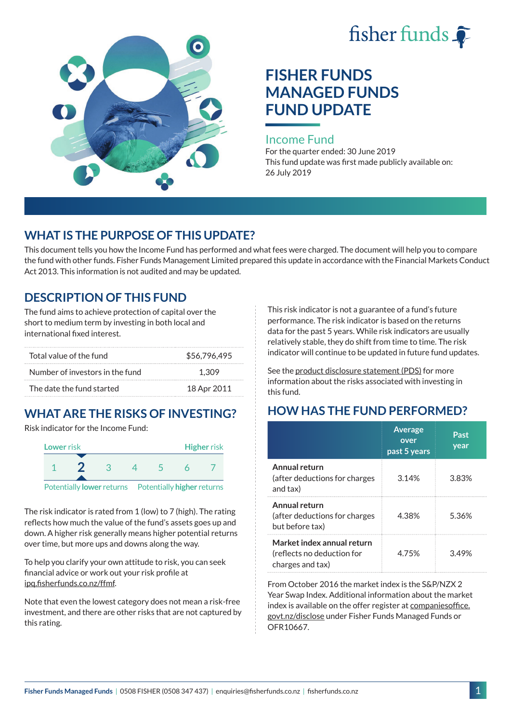



# **FISHER FUNDS MANAGED FUNDS FUND UPDATE**

#### Income Fund

For the quarter ended: 30 June 2019 This fund update was first made publicly available on: 26 July 2019

## **WHAT IS THE PURPOSE OF THIS UPDATE?**

This document tells you how the Income Fund has performed and what fees were charged. The document will help you to compare the fund with other funds. Fisher Funds Management Limited prepared this update in accordance with the Financial Markets Conduct Act 2013. This information is not audited and may be updated.

# **DESCRIPTION OF THIS FUND**

The fund aims to achieve protection of capital over the short to medium term by investing in both local and international fixed interest.

| Total value of the fund         | \$56,796,495 |
|---------------------------------|--------------|
| Number of investors in the fund | 1.309        |
| The date the fund started       | 18 Apr 2011  |

# **WHAT ARE THE RISKS OF INVESTING?**

Risk indicator for the Income Fund:



The risk indicator is rated from 1 (low) to 7 (high). The rating reflects how much the value of the fund's assets goes up and down. A higher risk generally means higher potential returns over time, but more ups and downs along the way.

To help you clarify your own attitude to risk, you can seek financial advice or work out your risk profile at [ipq.fisherfunds.co.nz/ffmf.](https://ipq.fisherfunds.co.nz/ffmf)

Note that even the lowest category does not mean a risk-free investment, and there are other risks that are not captured by this rating.

This risk indicator is not a guarantee of a fund's future performance. The risk indicator is based on the returns data for the past 5 years. While risk indicators are usually relatively stable, they do shift from time to time. The risk indicator will continue to be updated in future fund updates.

See the [product disclosure statement \(PDS\)](https://fisherfunds.co.nz/assets/PDS/Fisher-Funds-Managed-Funds-PDS.pdf) for more information about the risks associated with investing in this fund.

# **HOW HAS THE FUND PERFORMED?**

|                                                                              | <b>Average</b><br>over<br>past 5 years | Past<br>year |
|------------------------------------------------------------------------------|----------------------------------------|--------------|
| Annual return<br>(after deductions for charges<br>and tax)                   | 3.14%                                  | 3.83%        |
| Annual return<br>(after deductions for charges<br>but before tax)            | 4.38%                                  | 5.36%        |
| Market index annual return<br>(reflects no deduction for<br>charges and tax) | 4 75%                                  | 349%         |

From October 2016 the market index is the S&P/NZX 2 Year Swap Index. Additional information about the market index is available on the offer register at [companiesoffice.](http://companiesoffice.govt.nz/disclose) [govt.nz/disclose](http://companiesoffice.govt.nz/disclose) under Fisher Funds Managed Funds or OFR10667.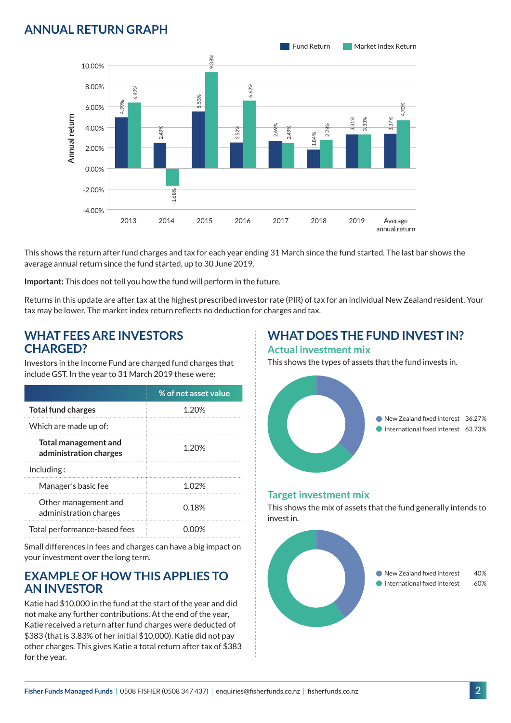## **ANNUAL RETURN GRAPH**



This shows the return after fund charges and tax for each year ending 31 March since the fund started. The last bar shows the average annual return since the fund started, up to 30 June 2019.

**Important:** This does not tell you how the fund will perform in the future.

Returns in this update are after tax at the highest prescribed investor rate (PIR) of tax for an individual New Zealand resident. Your tax may be lower. The market index return reflects no deduction for charges and tax.

### **WHAT FEES ARE INVESTORS CHARGED?**

Investors in the Income Fund are charged fund charges that include GST. In the year to 31 March 2019 these were:

|                                                       | % of net asset value |
|-------------------------------------------------------|----------------------|
| <b>Total fund charges</b>                             | 1.20%                |
| Which are made up of:                                 |                      |
| <b>Total management and</b><br>administration charges | 1.20%                |
| Inding:                                               |                      |
| Manager's basic fee                                   | 1 በ2%                |
| Other management and<br>administration charges        | 0.18%                |
| Total performance-based fees                          |                      |

Small differences in fees and charges can have a big impact on your investment over the long term.

### **EXAMPLE OF HOW THIS APPLIES TO AN INVESTOR**

Katie had \$10,000 in the fund at the start of the year and did not make any further contributions. At the end of the year, Katie received a return after fund charges were deducted of \$383 (that is 3.83% of her initial \$10,000). Katie did not pay other charges. This gives Katie a total return after tax of \$383 for the year.

#### **WHAT DOES THE FUND INVEST IN? Actual investment mix**

This shows the types of assets that the fund invests in.



#### **Target investment mix**

This shows the mix of assets that the fund generally intends to invest in.